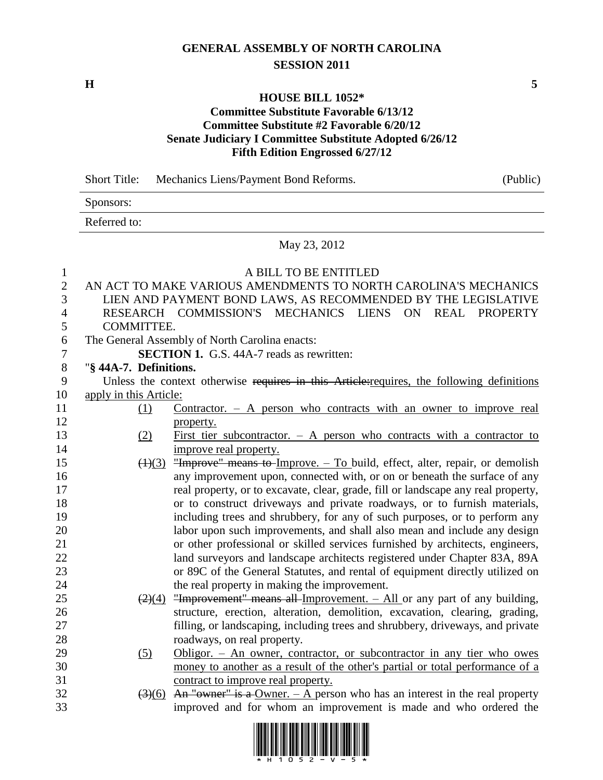# **GENERAL ASSEMBLY OF NORTH CAROLINA SESSION 2011**

**H 5**

### **HOUSE BILL 1052\* Committee Substitute Favorable 6/13/12 Committee Substitute #2 Favorable 6/20/12 Senate Judiciary I Committee Substitute Adopted 6/26/12 Fifth Edition Engrossed 6/27/12**

|                | <b>Short Title:</b><br>Sponsors:     | Mechanics Liens/Payment Bond Reforms.<br>(Public)                                           |  |
|----------------|--------------------------------------|---------------------------------------------------------------------------------------------|--|
|                | Referred to:                         |                                                                                             |  |
|                |                                      | May 23, 2012                                                                                |  |
| $\mathbf{1}$   |                                      | A BILL TO BE ENTITLED                                                                       |  |
| $\mathbf{2}$   |                                      | AN ACT TO MAKE VARIOUS AMENDMENTS TO NORTH CAROLINA'S MECHANICS                             |  |
| 3              |                                      | LIEN AND PAYMENT BOND LAWS, AS RECOMMENDED BY THE LEGISLATIVE                               |  |
| $\overline{4}$ |                                      | RESEARCH COMMISSION'S MECHANICS LIENS<br>ON<br>REAL PROPERTY                                |  |
| 5              | <b>COMMITTEE.</b>                    |                                                                                             |  |
| 6              |                                      | The General Assembly of North Carolina enacts:                                              |  |
| 7              |                                      | <b>SECTION 1.</b> G.S. 44A-7 reads as rewritten:                                            |  |
| $8\,$          | "§ 44A-7. Definitions.               |                                                                                             |  |
| 9              |                                      | Unless the context otherwise requires in this Article-requires, the following definitions   |  |
| 10             | apply in this Article:               |                                                                                             |  |
| 11             | (1)                                  | <u>Contractor. <math>-</math> A person who contracts with an owner to improve real</u>      |  |
| 12             |                                      | property.                                                                                   |  |
| 13             | (2)                                  | <u>First tier subcontractor. <math>-</math> A person who contracts with a contractor to</u> |  |
| 14             |                                      | improve real property.                                                                      |  |
| 15             | $\bigoplus_{i=1}^{n} \bigl(3 \bigr)$ | "Improve" means to Improve. - To build, effect, alter, repair, or demolish                  |  |
| 16             |                                      | any improvement upon, connected with, or on or beneath the surface of any                   |  |
| 17             |                                      | real property, or to excavate, clear, grade, fill or landscape any real property,           |  |
| 18             |                                      | or to construct driveways and private roadways, or to furnish materials,                    |  |
| 19             |                                      | including trees and shrubbery, for any of such purposes, or to perform any                  |  |
| 20             |                                      | labor upon such improvements, and shall also mean and include any design                    |  |
| 21             |                                      | or other professional or skilled services furnished by architects, engineers,               |  |
| 22             |                                      | land surveyors and landscape architects registered under Chapter 83A, 89A                   |  |
| 23             |                                      | or 89C of the General Statutes, and rental of equipment directly utilized on                |  |
| 24             |                                      | the real property in making the improvement.                                                |  |
| 25             | (2)(4)                               | "Improvement" means all-Improvement. - All or any part of any building,                     |  |
| 26             |                                      | structure, erection, alteration, demolition, excavation, clearing, grading,                 |  |
| 27             |                                      | filling, or landscaping, including trees and shrubbery, driveways, and private              |  |
| 28             |                                      | roadways, on real property.                                                                 |  |
| 29             | <u>(5)</u>                           | Obligor. $-$ An owner, contractor, or subcontractor in any tier who owes                    |  |
| 30             |                                      | money to another as a result of the other's partial or total performance of a               |  |
| 31             |                                      | contract to improve real property.                                                          |  |
| 32             | $\left(3\right)\left(6\right)$       | An "owner" is a Owner. $-$ A person who has an interest in the real property                |  |
| 33             |                                      | improved and for whom an improvement is made and who ordered the                            |  |

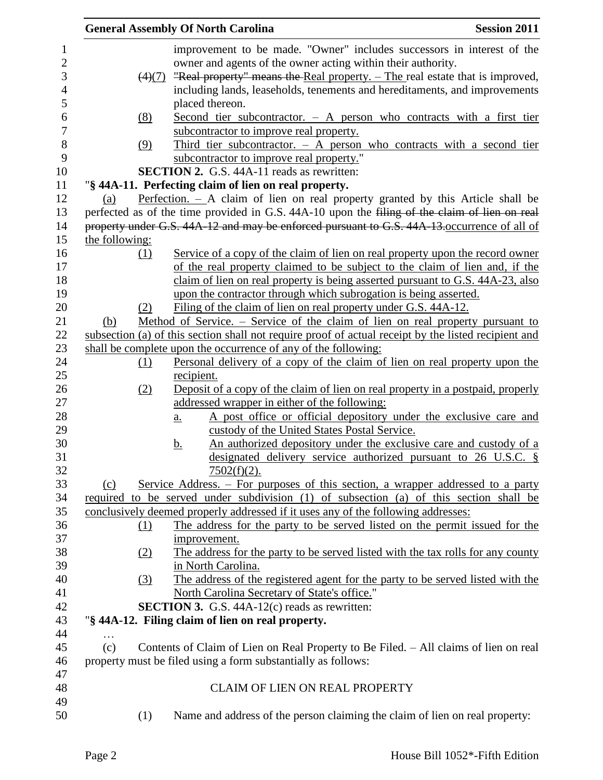|                |                |                                | <b>General Assembly Of North Carolina</b>                                                            | <b>Session 2011</b> |
|----------------|----------------|--------------------------------|------------------------------------------------------------------------------------------------------|---------------------|
| $\mathbf{1}$   |                |                                | improvement to be made. "Owner" includes successors in interest of the                               |                     |
| $\overline{2}$ |                |                                | owner and agents of the owner acting within their authority.                                         |                     |
| 3              |                | $\left(4\right)\left(7\right)$ | "Real property" means the Real property. $-$ The real estate that is improved,                       |                     |
| $\overline{4}$ |                |                                | including lands, leaseholds, tenements and hereditaments, and improvements                           |                     |
| 5              |                |                                | placed thereon.                                                                                      |                     |
| 6              |                | (8)                            | Second tier subcontractor. $-$ A person who contracts with a first tier                              |                     |
| $\overline{7}$ |                |                                | subcontractor to improve real property.                                                              |                     |
| $8\,$          |                | (9)                            | Third tier subcontractor. $-$ A person who contracts with a second tier                              |                     |
| 9              |                |                                | subcontractor to improve real property."                                                             |                     |
| 10             |                |                                | <b>SECTION 2.</b> G.S. 44A-11 reads as rewritten:                                                    |                     |
| 11             |                |                                | "§ 44A-11. Perfecting claim of lien on real property.                                                |                     |
| 12             | (a)            |                                | Perfection. $-$ A claim of lien on real property granted by this Article shall be                    |                     |
| 13             |                |                                | perfected as of the time provided in G.S. 44A-10 upon the filing of the claim of lien on real        |                     |
| 14             |                |                                | property under G.S. 44A-12 and may be enforced pursuant to G.S. 44A-13. occurrence of all of         |                     |
| 15             | the following: |                                |                                                                                                      |                     |
| 16             |                | (1)                            | Service of a copy of the claim of lien on real property upon the record owner                        |                     |
| 17             |                |                                | of the real property claimed to be subject to the claim of lien and, if the                          |                     |
| 18             |                |                                | claim of lien on real property is being asserted pursuant to G.S. 44A-23, also                       |                     |
| 19             |                |                                | upon the contractor through which subrogation is being asserted.                                     |                     |
| 20             |                | (2)                            | Filing of the claim of lien on real property under G.S. 44A-12.                                      |                     |
| 21             | (b)            |                                | <u>Method of Service. – Service of the claim of lien on real property pursuant to</u>                |                     |
| 22             |                |                                | subsection (a) of this section shall not require proof of actual receipt by the listed recipient and |                     |
| 23             |                |                                | shall be complete upon the occurrence of any of the following:                                       |                     |
| 24             |                | (1)                            | Personal delivery of a copy of the claim of lien on real property upon the                           |                     |
| 25             |                |                                | recipient.                                                                                           |                     |
| 26             |                | (2)                            | Deposit of a copy of the claim of lien on real property in a postpaid, properly                      |                     |
| 27             |                |                                | addressed wrapper in either of the following:                                                        |                     |
| 28             |                |                                | A post office or official depository under the exclusive care and<br>$\underline{\mathbf{a}}$ .      |                     |
| 29             |                |                                | custody of the United States Postal Service.                                                         |                     |
| 30             |                |                                | An authorized depository under the exclusive care and custody of a<br><u>b.</u>                      |                     |
| 31             |                |                                | designated delivery service authorized pursuant to 26 U.S.C. §                                       |                     |
| 32             |                |                                | $7502(f)(2)$ .                                                                                       |                     |
| 33             | (c)            |                                | Service Address. – For purposes of this section, a wrapper addressed to a party                      |                     |
| 34             |                |                                | required to be served under subdivision (1) of subsection (a) of this section shall be               |                     |
| 35             |                |                                | conclusively deemed properly addressed if it uses any of the following addresses:                    |                     |
| 36             |                | (1)                            | The address for the party to be served listed on the permit issued for the                           |                     |
| 37             |                |                                | improvement.                                                                                         |                     |
| 38             |                | (2)                            | The address for the party to be served listed with the tax rolls for any county                      |                     |
| 39             |                |                                | in North Carolina.                                                                                   |                     |
| 40             |                | (3)                            | The address of the registered agent for the party to be served listed with the                       |                     |
| 41             |                |                                | North Carolina Secretary of State's office."                                                         |                     |
| 42             |                |                                | <b>SECTION 3.</b> G.S. 44A-12(c) reads as rewritten:                                                 |                     |
| 43             |                |                                | "§ 44A-12. Filing claim of lien on real property.                                                    |                     |
| 44<br>45       | (c)            |                                | Contents of Claim of Lien on Real Property to Be Filed. – All claims of lien on real                 |                     |
| 46             |                |                                | property must be filed using a form substantially as follows:                                        |                     |
| 47             |                |                                |                                                                                                      |                     |
| 48             |                |                                | <b>CLAIM OF LIEN ON REAL PROPERTY</b>                                                                |                     |
| 49             |                |                                |                                                                                                      |                     |
| 50             |                | (1)                            | Name and address of the person claiming the claim of lien on real property:                          |                     |
|                |                |                                |                                                                                                      |                     |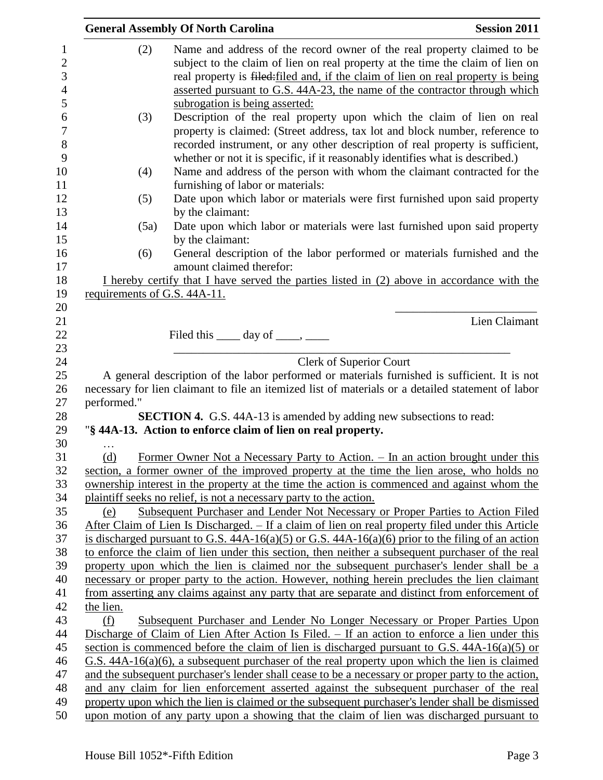|                              | <b>General Assembly Of North Carolina</b>                                                                                                                                                                                                       | <b>Session 2011</b> |
|------------------------------|-------------------------------------------------------------------------------------------------------------------------------------------------------------------------------------------------------------------------------------------------|---------------------|
| (2)                          | Name and address of the record owner of the real property claimed to be<br>subject to the claim of lien on real property at the time the claim of lien on<br>real property is filed: filed and, if the claim of lien on real property is being  |                     |
|                              | asserted pursuant to G.S. 44A-23, the name of the contractor through which                                                                                                                                                                      |                     |
| (3)                          | subrogation is being asserted:<br>Description of the real property upon which the claim of lien on real                                                                                                                                         |                     |
|                              | property is claimed: (Street address, tax lot and block number, reference to<br>recorded instrument, or any other description of real property is sufficient,<br>whether or not it is specific, if it reasonably identifies what is described.) |                     |
| (4)                          | Name and address of the person with whom the claimant contracted for the                                                                                                                                                                        |                     |
|                              | furnishing of labor or materials:                                                                                                                                                                                                               |                     |
| (5)                          | Date upon which labor or materials were first furnished upon said property<br>by the claimant:                                                                                                                                                  |                     |
| (5a)                         | Date upon which labor or materials were last furnished upon said property                                                                                                                                                                       |                     |
|                              | by the claimant:                                                                                                                                                                                                                                |                     |
| (6)                          | General description of the labor performed or materials furnished and the<br>amount claimed therefor:                                                                                                                                           |                     |
|                              | I hereby certify that I have served the parties listed in (2) above in accordance with the                                                                                                                                                      |                     |
| requirements of G.S. 44A-11. |                                                                                                                                                                                                                                                 |                     |
|                              |                                                                                                                                                                                                                                                 |                     |
|                              |                                                                                                                                                                                                                                                 | Lien Claimant       |
|                              | Filed this $\_\_\_$ day of $\_\_\_\_\_\_\_\_\_\_\_\_\_\_\_$                                                                                                                                                                                     |                     |
|                              |                                                                                                                                                                                                                                                 |                     |
|                              | <b>Clerk of Superior Court</b><br>A general description of the labor performed or materials furnished is sufficient. It is not                                                                                                                  |                     |
|                              | necessary for lien claimant to file an itemized list of materials or a detailed statement of labor                                                                                                                                              |                     |
| performed."                  |                                                                                                                                                                                                                                                 |                     |
|                              | <b>SECTION 4.</b> G.S. 44A-13 is amended by adding new subsections to read:                                                                                                                                                                     |                     |
|                              | "§ 44A-13. Action to enforce claim of lien on real property.                                                                                                                                                                                    |                     |
|                              |                                                                                                                                                                                                                                                 |                     |
| (d)                          | Former Owner Not a Necessary Party to Action. - In an action brought under this                                                                                                                                                                 |                     |
|                              | section, a former owner of the improved property at the time the lien arose, who holds no                                                                                                                                                       |                     |
|                              | ownership interest in the property at the time the action is commenced and against whom the                                                                                                                                                     |                     |
|                              | plaintiff seeks no relief, is not a necessary party to the action.                                                                                                                                                                              |                     |
| (e)                          | Subsequent Purchaser and Lender Not Necessary or Proper Parties to Action Filed                                                                                                                                                                 |                     |
|                              | After Claim of Lien Is Discharged. – If a claim of lien on real property filed under this Article                                                                                                                                               |                     |
|                              | is discharged pursuant to G.S. $44A-16(a)(5)$ or G.S. $44A-16(a)(6)$ prior to the filing of an action                                                                                                                                           |                     |
|                              | to enforce the claim of lien under this section, then neither a subsequent purchaser of the real                                                                                                                                                |                     |
|                              | property upon which the lien is claimed nor the subsequent purchaser's lender shall be a                                                                                                                                                        |                     |
|                              | necessary or proper party to the action. However, nothing herein precludes the lien claimant                                                                                                                                                    |                     |
|                              | from asserting any claims against any party that are separate and distinct from enforcement of                                                                                                                                                  |                     |
| the lien.                    |                                                                                                                                                                                                                                                 |                     |
| (f)                          | Subsequent Purchaser and Lender No Longer Necessary or Proper Parties Upon                                                                                                                                                                      |                     |
|                              | Discharge of Claim of Lien After Action Is Filed. – If an action to enforce a lien under this                                                                                                                                                   |                     |
|                              | section is commenced before the claim of lien is discharged pursuant to G.S. $44A-16(a)(5)$ or                                                                                                                                                  |                     |
|                              | G.S. $44A-16(a)(6)$ , a subsequent purchaser of the real property upon which the lien is claimed                                                                                                                                                |                     |
|                              | and the subsequent purchaser's lender shall cease to be a necessary or proper party to the action,                                                                                                                                              |                     |
|                              | and any claim for lien enforcement asserted against the subsequent purchaser of the real                                                                                                                                                        |                     |
|                              | property upon which the lien is claimed or the subsequent purchaser's lender shall be dismissed                                                                                                                                                 |                     |
|                              | upon motion of any party upon a showing that the claim of lien was discharged pursuant to                                                                                                                                                       |                     |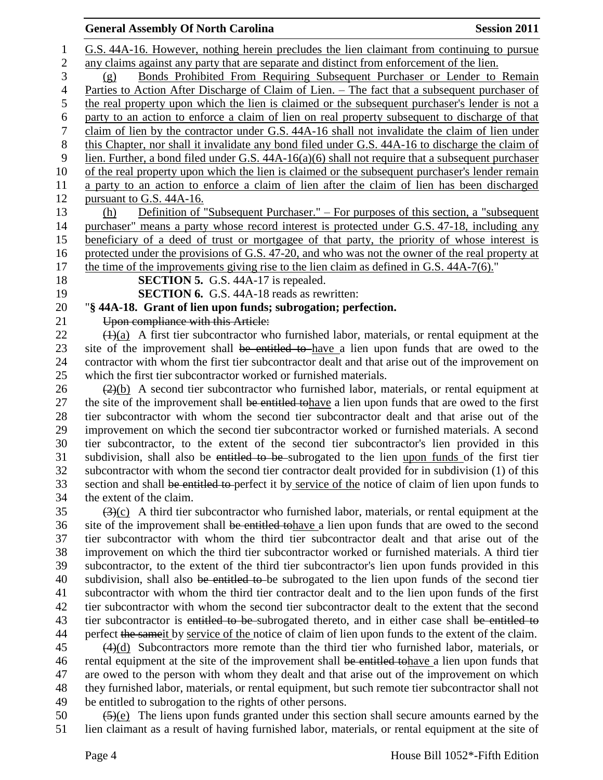G.S. 44A-16. However, nothing herein precludes the lien claimant from continuing to pursue any claims against any party that are separate and distinct from enforcement of the lien. (g) Bonds Prohibited From Requiring Subsequent Purchaser or Lender to Remain Parties to Action After Discharge of Claim of Lien. – The fact that a subsequent purchaser of the real property upon which the lien is claimed or the subsequent purchaser's lender is not a party to an action to enforce a claim of lien on real property subsequent to discharge of that claim of lien by the contractor under G.S. 44A-16 shall not invalidate the claim of lien under this Chapter, nor shall it invalidate any bond filed under G.S. 44A-16 to discharge the claim of lien. Further, a bond filed under G.S. 44A-16(a)(6) shall not require that a subsequent purchaser of the real property upon which the lien is claimed or the subsequent purchaser's lender remain a party to an action to enforce a claim of lien after the claim of lien has been discharged pursuant to G.S. 44A-16. (h) Definition of "Subsequent Purchaser." – For purposes of this section, a "subsequent purchaser" means a party whose record interest is protected under G.S. 47-18, including any beneficiary of a deed of trust or mortgagee of that party, the priority of whose interest is 16 protected under the provisions of G.S. 47-20, and who was not the owner of the real property at the time of the improvements giving rise to the lien claim as defined in G.S. 44A-7(6)." **SECTION 5.** G.S. 44A-17 is repealed. **SECTION 6.** G.S. 44A-18 reads as rewritten: "**§ 44A-18. Grant of lien upon funds; subrogation; perfection.** 21 Upon compliance with this Article:  $\left(1\right)$ (a) A first tier subcontractor who furnished labor, materials, or rental equipment at the site of the improvement shall be entitled to have a lien upon funds that are owed to the contractor with whom the first tier subcontractor dealt and that arise out of the improvement on which the first tier subcontractor worked or furnished materials.  $26 \left( \frac{2}{2} \right)$  A second tier subcontractor who furnished labor, materials, or rental equipment at 27 the site of the improvement shall be entitled to have a lien upon funds that are owed to the first tier subcontractor with whom the second tier subcontractor dealt and that arise out of the improvement on which the second tier subcontractor worked or furnished materials. A second

 tier subcontractor, to the extent of the second tier subcontractor's lien provided in this subdivision, shall also be entitled to be subrogated to the lien upon funds of the first tier subcontractor with whom the second tier contractor dealt provided for in subdivision (1) of this 33 section and shall be entitled to perfect it by service of the notice of claim of lien upon funds to the extent of the claim.

  $(3)(c)$  A third tier subcontractor who furnished labor, materials, or rental equipment at the 36 site of the improvement shall be entitled to have a lien upon funds that are owed to the second tier subcontractor with whom the third tier subcontractor dealt and that arise out of the improvement on which the third tier subcontractor worked or furnished materials. A third tier subcontractor, to the extent of the third tier subcontractor's lien upon funds provided in this subdivision, shall also be entitled to be subrogated to the lien upon funds of the second tier subcontractor with whom the third tier contractor dealt and to the lien upon funds of the first tier subcontractor with whom the second tier subcontractor dealt to the extent that the second 43 tier subcontractor is entitled to be subrogated thereto, and in either case shall be entitled to 44 perfect the same it by service of the notice of claim of lien upon funds to the extent of the claim.

 (4)(d) Subcontractors more remote than the third tier who furnished labor, materials, or 46 rental equipment at the site of the improvement shall be entitled to have a lien upon funds that are owed to the person with whom they dealt and that arise out of the improvement on which they furnished labor, materials, or rental equipment, but such remote tier subcontractor shall not be entitled to subrogation to the rights of other persons.

 $50 \left( \frac{5}{6} \right)$  The liens upon funds granted under this section shall secure amounts earned by the lien claimant as a result of having furnished labor, materials, or rental equipment at the site of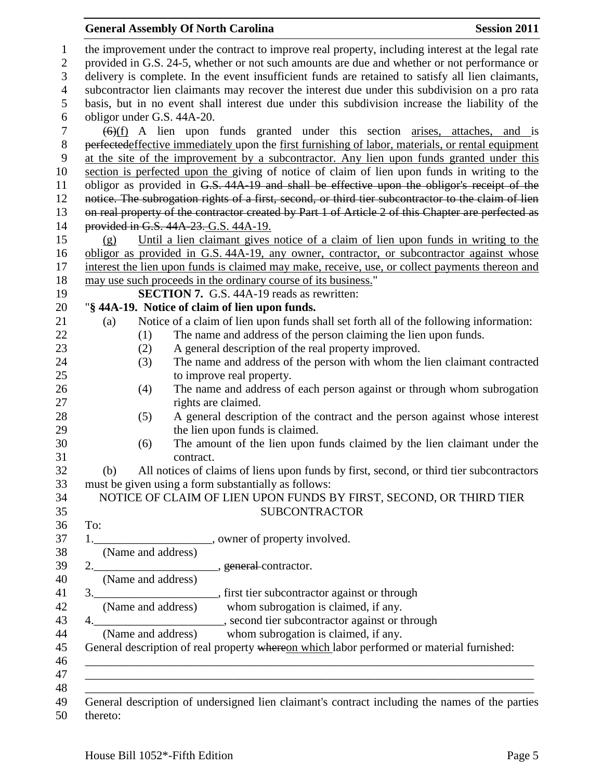| 1             | the improvement under the contract to improve real property, including interest at the legal rate                    |  |  |
|---------------|----------------------------------------------------------------------------------------------------------------------|--|--|
| $\mathbf{2}$  | provided in G.S. 24-5, whether or not such amounts are due and whether or not performance or                         |  |  |
| 3             | delivery is complete. In the event insufficient funds are retained to satisfy all lien claimants,                    |  |  |
| 4             | subcontractor lien claimants may recover the interest due under this subdivision on a pro rata                       |  |  |
| $\mathfrak s$ | basis, but in no event shall interest due under this subdivision increase the liability of the                       |  |  |
| 6             | obligor under G.S. 44A-20.                                                                                           |  |  |
| 7             | $\left(\frac{6}{f}\right)$ A lien upon funds granted under this section arises, attaches, and is                     |  |  |
| $8\,$         | perfected effective immediately upon the first furnishing of labor, materials, or rental equipment                   |  |  |
| 9             | at the site of the improvement by a subcontractor. Any lien upon funds granted under this                            |  |  |
| 10            | section is perfected upon the giving of notice of claim of lien upon funds in writing to the                         |  |  |
| 11            | obligor as provided in G.S. 44A-19 and shall be effective upon the obligor's receipt of the                          |  |  |
| 12            | notice. The subrogation rights of a first, second, or third tier subcontractor to the claim of lien                  |  |  |
| 13            | on real property of the contractor created by Part 1 of Article 2 of this Chapter are perfected as                   |  |  |
| 14            | provided in G.S. 44A-23-G.S. 44A-19.                                                                                 |  |  |
| 15            | Until a lien claimant gives notice of a claim of lien upon funds in writing to the<br>(g)                            |  |  |
| 16            | obligor as provided in G.S. 44A-19, any owner, contractor, or subcontractor against whose                            |  |  |
| 17            | interest the lien upon funds is claimed may make, receive, use, or collect payments thereon and                      |  |  |
| 18            | may use such proceeds in the ordinary course of its business."                                                       |  |  |
| 19            | <b>SECTION 7.</b> G.S. 44A-19 reads as rewritten:                                                                    |  |  |
| 20            | "§ 44A-19. Notice of claim of lien upon funds.                                                                       |  |  |
| 21            | Notice of a claim of lien upon funds shall set forth all of the following information:<br>(a)                        |  |  |
| 22            | The name and address of the person claiming the lien upon funds.<br>(1)                                              |  |  |
| 23            | A general description of the real property improved.<br>(2)                                                          |  |  |
| 24            | The name and address of the person with whom the lien claimant contracted<br>(3)                                     |  |  |
| 25            | to improve real property.                                                                                            |  |  |
| 26            | The name and address of each person against or through whom subrogation<br>(4)                                       |  |  |
| 27            | rights are claimed.                                                                                                  |  |  |
| 28            | A general description of the contract and the person against whose interest<br>(5)                                   |  |  |
| 29            | the lien upon funds is claimed.                                                                                      |  |  |
| 30            | (6)<br>The amount of the lien upon funds claimed by the lien claimant under the                                      |  |  |
| 31            | contract.                                                                                                            |  |  |
| 32            | All notices of claims of liens upon funds by first, second, or third tier subcontractors<br>(b)                      |  |  |
| 33            | must be given using a form substantially as follows:                                                                 |  |  |
| 34            | NOTICE OF CLAIM OF LIEN UPON FUNDS BY FIRST, SECOND, OR THIRD TIER                                                   |  |  |
| 35            | <b>SUBCONTRACTOR</b>                                                                                                 |  |  |
| 36            | To:                                                                                                                  |  |  |
| 37            |                                                                                                                      |  |  |
| 38            | (Name and address)                                                                                                   |  |  |
| 39            |                                                                                                                      |  |  |
| 40            | (Name and address)                                                                                                   |  |  |
| 41            |                                                                                                                      |  |  |
| 42            | (Name and address) whom subrogation is claimed, if any.                                                              |  |  |
| 43            | 4. __________________________, second tier subcontractor against or through                                          |  |  |
| 44            | (Name and address) whom subrogation is claimed, if any.                                                              |  |  |
| 45            | General description of real property whereon which labor performed or material furnished:                            |  |  |
| 46            | <u> 1989 - Johann Barn, amerikan besteman besteman besteman besteman besteman besteman besteman besteman bestema</u> |  |  |
| 47            | ,我们也不能在这里的时候,我们也不能在这里的时候,我们也不能在这里的时候,我们也不能会在这里的时候,我们也不能会在这里的时候,我们也不能会在这里的时候,我们也不                                     |  |  |
| 48            |                                                                                                                      |  |  |
| 49            | General description of undersigned lien claimant's contract including the names of the parties                       |  |  |
| 50            | thereto:                                                                                                             |  |  |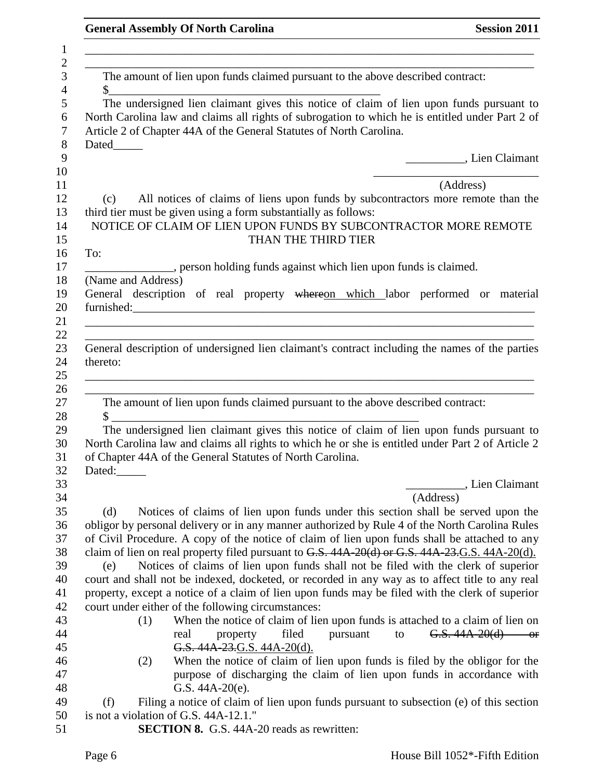|              | The amount of lien upon funds claimed pursuant to the above described contract:                                                                                                                                                         |
|--------------|-----------------------------------------------------------------------------------------------------------------------------------------------------------------------------------------------------------------------------------------|
|              |                                                                                                                                                                                                                                         |
|              | The undersigned lien claimant gives this notice of claim of lien upon funds pursuant to<br>North Carolina law and claims all rights of subrogation to which he is entitled under Part 2 of                                              |
|              | Article 2 of Chapter 44A of the General Statutes of North Carolina.                                                                                                                                                                     |
| Dated_______ |                                                                                                                                                                                                                                         |
|              | Lien Claimant                                                                                                                                                                                                                           |
|              | (Address)                                                                                                                                                                                                                               |
| (c)          | All notices of claims of liens upon funds by subcontractors more remote than the                                                                                                                                                        |
|              | third tier must be given using a form substantially as follows:                                                                                                                                                                         |
|              | NOTICE OF CLAIM OF LIEN UPON FUNDS BY SUBCONTRACTOR MORE REMOTE<br>THAN THE THIRD TIER                                                                                                                                                  |
| To:          |                                                                                                                                                                                                                                         |
|              | ________, person holding funds against which lien upon funds is claimed.                                                                                                                                                                |
|              | (Name and Address)                                                                                                                                                                                                                      |
|              | General description of real property whereon which labor performed or material                                                                                                                                                          |
|              |                                                                                                                                                                                                                                         |
|              |                                                                                                                                                                                                                                         |
|              | General description of undersigned lien claimant's contract including the names of the parties                                                                                                                                          |
| thereto:     |                                                                                                                                                                                                                                         |
|              |                                                                                                                                                                                                                                         |
|              |                                                                                                                                                                                                                                         |
|              | The amount of lien upon funds claimed pursuant to the above described contract:                                                                                                                                                         |
|              |                                                                                                                                                                                                                                         |
|              |                                                                                                                                                                                                                                         |
|              |                                                                                                                                                                                                                                         |
|              | North Carolina law and claims all rights to which he or she is entitled under Part 2 of Article 2                                                                                                                                       |
|              | of Chapter 44A of the General Statutes of North Carolina.                                                                                                                                                                               |
|              |                                                                                                                                                                                                                                         |
|              |                                                                                                                                                                                                                                         |
|              | (Address)                                                                                                                                                                                                                               |
| (d)          |                                                                                                                                                                                                                                         |
|              | obligor by personal delivery or in any manner authorized by Rule 4 of the North Carolina Rules                                                                                                                                          |
|              |                                                                                                                                                                                                                                         |
|              | claim of lien on real property filed pursuant to G.S. 44A-20(d) or G.S. 44A-23. G.S. 44A-20(d).                                                                                                                                         |
| (e)          | Notices of claims of lien upon funds shall not be filed with the clerk of superior                                                                                                                                                      |
|              | court and shall not be indexed, docketed, or recorded in any way as to affect title to any real                                                                                                                                         |
|              | property, except a notice of a claim of lien upon funds may be filed with the clerk of superior                                                                                                                                         |
|              | court under either of the following circumstances:                                                                                                                                                                                      |
|              | When the notice of claim of lien upon funds is attached to a claim of lien on<br>(1)                                                                                                                                                    |
|              | real<br>filed<br>property<br>pursuant<br>to                                                                                                                                                                                             |
|              | Notices of claims of lien upon funds under this section shall be served upon the<br>of Civil Procedure. A copy of the notice of claim of lien upon funds shall be attached to any<br>$G.S. 44A-20(d)$ or<br>G.S. 44A-23.G.S. 44A-20(d). |
|              | (2)                                                                                                                                                                                                                                     |
| Dated:       | The undersigned lien claimant gives this notice of claim of lien upon funds pursuant to<br>When the notice of claim of lien upon funds is filed by the obligor for the                                                                  |
| (f)          | G.S. $44A-20(e)$ .                                                                                                                                                                                                                      |
|              | _, Lien Claimant<br>purpose of discharging the claim of lien upon funds in accordance with<br>Filing a notice of claim of lien upon funds pursuant to subsection (e) of this section<br>is not a violation of G.S. 44A-12.1."           |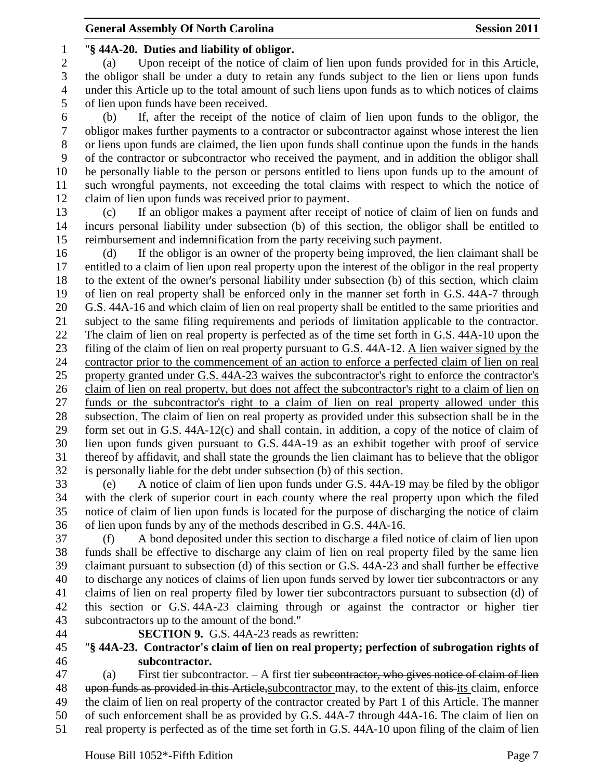## "**§ 44A-20. Duties and liability of obligor.**

 (a) Upon receipt of the notice of claim of lien upon funds provided for in this Article, the obligor shall be under a duty to retain any funds subject to the lien or liens upon funds under this Article up to the total amount of such liens upon funds as to which notices of claims of lien upon funds have been received.

 (b) If, after the receipt of the notice of claim of lien upon funds to the obligor, the obligor makes further payments to a contractor or subcontractor against whose interest the lien or liens upon funds are claimed, the lien upon funds shall continue upon the funds in the hands of the contractor or subcontractor who received the payment, and in addition the obligor shall be personally liable to the person or persons entitled to liens upon funds up to the amount of such wrongful payments, not exceeding the total claims with respect to which the notice of claim of lien upon funds was received prior to payment.

 (c) If an obligor makes a payment after receipt of notice of claim of lien on funds and incurs personal liability under subsection (b) of this section, the obligor shall be entitled to reimbursement and indemnification from the party receiving such payment.

 (d) If the obligor is an owner of the property being improved, the lien claimant shall be entitled to a claim of lien upon real property upon the interest of the obligor in the real property to the extent of the owner's personal liability under subsection (b) of this section, which claim of lien on real property shall be enforced only in the manner set forth in G.S. 44A-7 through G.S. 44A-16 and which claim of lien on real property shall be entitled to the same priorities and subject to the same filing requirements and periods of limitation applicable to the contractor. The claim of lien on real property is perfected as of the time set forth in G.S. 44A-10 upon the filing of the claim of lien on real property pursuant to G.S. 44A-12. A lien waiver signed by the contractor prior to the commencement of an action to enforce a perfected claim of lien on real property granted under G.S. 44A-23 waives the subcontractor's right to enforce the contractor's claim of lien on real property, but does not affect the subcontractor's right to a claim of lien on funds or the subcontractor's right to a claim of lien on real property allowed under this subsection. The claim of lien on real property as provided under this subsection shall be in the form set out in G.S. 44A-12(c) and shall contain, in addition, a copy of the notice of claim of lien upon funds given pursuant to G.S. 44A-19 as an exhibit together with proof of service thereof by affidavit, and shall state the grounds the lien claimant has to believe that the obligor is personally liable for the debt under subsection (b) of this section.

 (e) A notice of claim of lien upon funds under G.S. 44A-19 may be filed by the obligor with the clerk of superior court in each county where the real property upon which the filed notice of claim of lien upon funds is located for the purpose of discharging the notice of claim of lien upon funds by any of the methods described in G.S. 44A-16.

 (f) A bond deposited under this section to discharge a filed notice of claim of lien upon funds shall be effective to discharge any claim of lien on real property filed by the same lien claimant pursuant to subsection (d) of this section or G.S. 44A-23 and shall further be effective to discharge any notices of claims of lien upon funds served by lower tier subcontractors or any claims of lien on real property filed by lower tier subcontractors pursuant to subsection (d) of this section or G.S. 44A-23 claiming through or against the contractor or higher tier subcontractors up to the amount of the bond."

**SECTION 9.** G.S. 44A-23 reads as rewritten:

 "**§ 44A-23. Contractor's claim of lien on real property; perfection of subrogation rights of subcontractor.**

 (a) First tier subcontractor. – A first tier subcontractor, who gives notice of claim of lien 48 upon funds as provided in this Article, subcontractor may, to the extent of this its claim, enforce the claim of lien on real property of the contractor created by Part 1 of this Article. The manner of such enforcement shall be as provided by G.S. 44A-7 through 44A-16. The claim of lien on real property is perfected as of the time set forth in G.S. 44A-10 upon filing of the claim of lien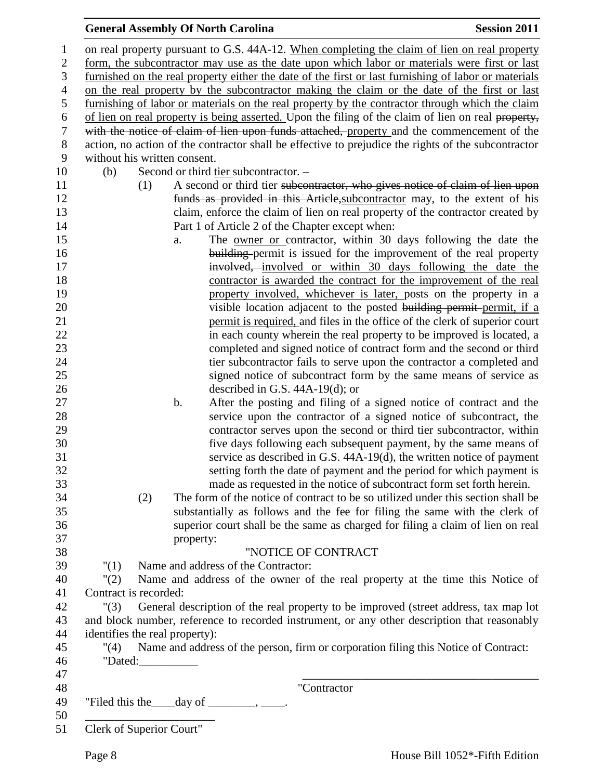|                                                                                                    |                                     |            |                                                                     | <b>Session 2011</b>                                                                                                                                                                                                                                                                                                                                                                                                                                                                                                                                                                                                                                                                                                                                                                                                                                                                                                                                                                                                                                                                                                                                                                                                                                                                                                                                                                                                                                                                                                                                                                                                                                                                                                                                                                                                                                                                                                                                                                                                                                                                                                                                                                                                                                                                                                                                                                                                                                                                                                                                                                                                                                                                                                                                                                                                                                                                                                                                                                                                                                                                                                                   |
|----------------------------------------------------------------------------------------------------|-------------------------------------|------------|---------------------------------------------------------------------|---------------------------------------------------------------------------------------------------------------------------------------------------------------------------------------------------------------------------------------------------------------------------------------------------------------------------------------------------------------------------------------------------------------------------------------------------------------------------------------------------------------------------------------------------------------------------------------------------------------------------------------------------------------------------------------------------------------------------------------------------------------------------------------------------------------------------------------------------------------------------------------------------------------------------------------------------------------------------------------------------------------------------------------------------------------------------------------------------------------------------------------------------------------------------------------------------------------------------------------------------------------------------------------------------------------------------------------------------------------------------------------------------------------------------------------------------------------------------------------------------------------------------------------------------------------------------------------------------------------------------------------------------------------------------------------------------------------------------------------------------------------------------------------------------------------------------------------------------------------------------------------------------------------------------------------------------------------------------------------------------------------------------------------------------------------------------------------------------------------------------------------------------------------------------------------------------------------------------------------------------------------------------------------------------------------------------------------------------------------------------------------------------------------------------------------------------------------------------------------------------------------------------------------------------------------------------------------------------------------------------------------------------------------------------------------------------------------------------------------------------------------------------------------------------------------------------------------------------------------------------------------------------------------------------------------------------------------------------------------------------------------------------------------------------------------------------------------------------------------------------------------|
|                                                                                                    |                                     |            |                                                                     |                                                                                                                                                                                                                                                                                                                                                                                                                                                                                                                                                                                                                                                                                                                                                                                                                                                                                                                                                                                                                                                                                                                                                                                                                                                                                                                                                                                                                                                                                                                                                                                                                                                                                                                                                                                                                                                                                                                                                                                                                                                                                                                                                                                                                                                                                                                                                                                                                                                                                                                                                                                                                                                                                                                                                                                                                                                                                                                                                                                                                                                                                                                                       |
|                                                                                                    |                                     |            |                                                                     |                                                                                                                                                                                                                                                                                                                                                                                                                                                                                                                                                                                                                                                                                                                                                                                                                                                                                                                                                                                                                                                                                                                                                                                                                                                                                                                                                                                                                                                                                                                                                                                                                                                                                                                                                                                                                                                                                                                                                                                                                                                                                                                                                                                                                                                                                                                                                                                                                                                                                                                                                                                                                                                                                                                                                                                                                                                                                                                                                                                                                                                                                                                                       |
|                                                                                                    |                                     |            |                                                                     |                                                                                                                                                                                                                                                                                                                                                                                                                                                                                                                                                                                                                                                                                                                                                                                                                                                                                                                                                                                                                                                                                                                                                                                                                                                                                                                                                                                                                                                                                                                                                                                                                                                                                                                                                                                                                                                                                                                                                                                                                                                                                                                                                                                                                                                                                                                                                                                                                                                                                                                                                                                                                                                                                                                                                                                                                                                                                                                                                                                                                                                                                                                                       |
|                                                                                                    |                                     |            |                                                                     |                                                                                                                                                                                                                                                                                                                                                                                                                                                                                                                                                                                                                                                                                                                                                                                                                                                                                                                                                                                                                                                                                                                                                                                                                                                                                                                                                                                                                                                                                                                                                                                                                                                                                                                                                                                                                                                                                                                                                                                                                                                                                                                                                                                                                                                                                                                                                                                                                                                                                                                                                                                                                                                                                                                                                                                                                                                                                                                                                                                                                                                                                                                                       |
| furnishing of labor or materials on the real property by the contractor through which the claim    |                                     |            |                                                                     |                                                                                                                                                                                                                                                                                                                                                                                                                                                                                                                                                                                                                                                                                                                                                                                                                                                                                                                                                                                                                                                                                                                                                                                                                                                                                                                                                                                                                                                                                                                                                                                                                                                                                                                                                                                                                                                                                                                                                                                                                                                                                                                                                                                                                                                                                                                                                                                                                                                                                                                                                                                                                                                                                                                                                                                                                                                                                                                                                                                                                                                                                                                                       |
| of lien on real property is being asserted. Upon the filing of the claim of lien on real property, |                                     |            |                                                                     |                                                                                                                                                                                                                                                                                                                                                                                                                                                                                                                                                                                                                                                                                                                                                                                                                                                                                                                                                                                                                                                                                                                                                                                                                                                                                                                                                                                                                                                                                                                                                                                                                                                                                                                                                                                                                                                                                                                                                                                                                                                                                                                                                                                                                                                                                                                                                                                                                                                                                                                                                                                                                                                                                                                                                                                                                                                                                                                                                                                                                                                                                                                                       |
| with the notice of claim of lien upon funds attached, property and the commencement of the         |                                     |            |                                                                     |                                                                                                                                                                                                                                                                                                                                                                                                                                                                                                                                                                                                                                                                                                                                                                                                                                                                                                                                                                                                                                                                                                                                                                                                                                                                                                                                                                                                                                                                                                                                                                                                                                                                                                                                                                                                                                                                                                                                                                                                                                                                                                                                                                                                                                                                                                                                                                                                                                                                                                                                                                                                                                                                                                                                                                                                                                                                                                                                                                                                                                                                                                                                       |
|                                                                                                    |                                     |            |                                                                     |                                                                                                                                                                                                                                                                                                                                                                                                                                                                                                                                                                                                                                                                                                                                                                                                                                                                                                                                                                                                                                                                                                                                                                                                                                                                                                                                                                                                                                                                                                                                                                                                                                                                                                                                                                                                                                                                                                                                                                                                                                                                                                                                                                                                                                                                                                                                                                                                                                                                                                                                                                                                                                                                                                                                                                                                                                                                                                                                                                                                                                                                                                                                       |
|                                                                                                    |                                     |            |                                                                     |                                                                                                                                                                                                                                                                                                                                                                                                                                                                                                                                                                                                                                                                                                                                                                                                                                                                                                                                                                                                                                                                                                                                                                                                                                                                                                                                                                                                                                                                                                                                                                                                                                                                                                                                                                                                                                                                                                                                                                                                                                                                                                                                                                                                                                                                                                                                                                                                                                                                                                                                                                                                                                                                                                                                                                                                                                                                                                                                                                                                                                                                                                                                       |
|                                                                                                    |                                     |            |                                                                     |                                                                                                                                                                                                                                                                                                                                                                                                                                                                                                                                                                                                                                                                                                                                                                                                                                                                                                                                                                                                                                                                                                                                                                                                                                                                                                                                                                                                                                                                                                                                                                                                                                                                                                                                                                                                                                                                                                                                                                                                                                                                                                                                                                                                                                                                                                                                                                                                                                                                                                                                                                                                                                                                                                                                                                                                                                                                                                                                                                                                                                                                                                                                       |
|                                                                                                    |                                     |            |                                                                     |                                                                                                                                                                                                                                                                                                                                                                                                                                                                                                                                                                                                                                                                                                                                                                                                                                                                                                                                                                                                                                                                                                                                                                                                                                                                                                                                                                                                                                                                                                                                                                                                                                                                                                                                                                                                                                                                                                                                                                                                                                                                                                                                                                                                                                                                                                                                                                                                                                                                                                                                                                                                                                                                                                                                                                                                                                                                                                                                                                                                                                                                                                                                       |
|                                                                                                    |                                     |            |                                                                     |                                                                                                                                                                                                                                                                                                                                                                                                                                                                                                                                                                                                                                                                                                                                                                                                                                                                                                                                                                                                                                                                                                                                                                                                                                                                                                                                                                                                                                                                                                                                                                                                                                                                                                                                                                                                                                                                                                                                                                                                                                                                                                                                                                                                                                                                                                                                                                                                                                                                                                                                                                                                                                                                                                                                                                                                                                                                                                                                                                                                                                                                                                                                       |
|                                                                                                    |                                     |            |                                                                     |                                                                                                                                                                                                                                                                                                                                                                                                                                                                                                                                                                                                                                                                                                                                                                                                                                                                                                                                                                                                                                                                                                                                                                                                                                                                                                                                                                                                                                                                                                                                                                                                                                                                                                                                                                                                                                                                                                                                                                                                                                                                                                                                                                                                                                                                                                                                                                                                                                                                                                                                                                                                                                                                                                                                                                                                                                                                                                                                                                                                                                                                                                                                       |
|                                                                                                    |                                     |            |                                                                     |                                                                                                                                                                                                                                                                                                                                                                                                                                                                                                                                                                                                                                                                                                                                                                                                                                                                                                                                                                                                                                                                                                                                                                                                                                                                                                                                                                                                                                                                                                                                                                                                                                                                                                                                                                                                                                                                                                                                                                                                                                                                                                                                                                                                                                                                                                                                                                                                                                                                                                                                                                                                                                                                                                                                                                                                                                                                                                                                                                                                                                                                                                                                       |
|                                                                                                    |                                     |            |                                                                     |                                                                                                                                                                                                                                                                                                                                                                                                                                                                                                                                                                                                                                                                                                                                                                                                                                                                                                                                                                                                                                                                                                                                                                                                                                                                                                                                                                                                                                                                                                                                                                                                                                                                                                                                                                                                                                                                                                                                                                                                                                                                                                                                                                                                                                                                                                                                                                                                                                                                                                                                                                                                                                                                                                                                                                                                                                                                                                                                                                                                                                                                                                                                       |
|                                                                                                    |                                     |            |                                                                     |                                                                                                                                                                                                                                                                                                                                                                                                                                                                                                                                                                                                                                                                                                                                                                                                                                                                                                                                                                                                                                                                                                                                                                                                                                                                                                                                                                                                                                                                                                                                                                                                                                                                                                                                                                                                                                                                                                                                                                                                                                                                                                                                                                                                                                                                                                                                                                                                                                                                                                                                                                                                                                                                                                                                                                                                                                                                                                                                                                                                                                                                                                                                       |
|                                                                                                    |                                     |            |                                                                     |                                                                                                                                                                                                                                                                                                                                                                                                                                                                                                                                                                                                                                                                                                                                                                                                                                                                                                                                                                                                                                                                                                                                                                                                                                                                                                                                                                                                                                                                                                                                                                                                                                                                                                                                                                                                                                                                                                                                                                                                                                                                                                                                                                                                                                                                                                                                                                                                                                                                                                                                                                                                                                                                                                                                                                                                                                                                                                                                                                                                                                                                                                                                       |
|                                                                                                    |                                     |            |                                                                     |                                                                                                                                                                                                                                                                                                                                                                                                                                                                                                                                                                                                                                                                                                                                                                                                                                                                                                                                                                                                                                                                                                                                                                                                                                                                                                                                                                                                                                                                                                                                                                                                                                                                                                                                                                                                                                                                                                                                                                                                                                                                                                                                                                                                                                                                                                                                                                                                                                                                                                                                                                                                                                                                                                                                                                                                                                                                                                                                                                                                                                                                                                                                       |
|                                                                                                    |                                     |            |                                                                     |                                                                                                                                                                                                                                                                                                                                                                                                                                                                                                                                                                                                                                                                                                                                                                                                                                                                                                                                                                                                                                                                                                                                                                                                                                                                                                                                                                                                                                                                                                                                                                                                                                                                                                                                                                                                                                                                                                                                                                                                                                                                                                                                                                                                                                                                                                                                                                                                                                                                                                                                                                                                                                                                                                                                                                                                                                                                                                                                                                                                                                                                                                                                       |
|                                                                                                    |                                     |            |                                                                     |                                                                                                                                                                                                                                                                                                                                                                                                                                                                                                                                                                                                                                                                                                                                                                                                                                                                                                                                                                                                                                                                                                                                                                                                                                                                                                                                                                                                                                                                                                                                                                                                                                                                                                                                                                                                                                                                                                                                                                                                                                                                                                                                                                                                                                                                                                                                                                                                                                                                                                                                                                                                                                                                                                                                                                                                                                                                                                                                                                                                                                                                                                                                       |
|                                                                                                    |                                     |            |                                                                     |                                                                                                                                                                                                                                                                                                                                                                                                                                                                                                                                                                                                                                                                                                                                                                                                                                                                                                                                                                                                                                                                                                                                                                                                                                                                                                                                                                                                                                                                                                                                                                                                                                                                                                                                                                                                                                                                                                                                                                                                                                                                                                                                                                                                                                                                                                                                                                                                                                                                                                                                                                                                                                                                                                                                                                                                                                                                                                                                                                                                                                                                                                                                       |
|                                                                                                    |                                     |            |                                                                     |                                                                                                                                                                                                                                                                                                                                                                                                                                                                                                                                                                                                                                                                                                                                                                                                                                                                                                                                                                                                                                                                                                                                                                                                                                                                                                                                                                                                                                                                                                                                                                                                                                                                                                                                                                                                                                                                                                                                                                                                                                                                                                                                                                                                                                                                                                                                                                                                                                                                                                                                                                                                                                                                                                                                                                                                                                                                                                                                                                                                                                                                                                                                       |
|                                                                                                    |                                     |            |                                                                     |                                                                                                                                                                                                                                                                                                                                                                                                                                                                                                                                                                                                                                                                                                                                                                                                                                                                                                                                                                                                                                                                                                                                                                                                                                                                                                                                                                                                                                                                                                                                                                                                                                                                                                                                                                                                                                                                                                                                                                                                                                                                                                                                                                                                                                                                                                                                                                                                                                                                                                                                                                                                                                                                                                                                                                                                                                                                                                                                                                                                                                                                                                                                       |
|                                                                                                    |                                     |            |                                                                     |                                                                                                                                                                                                                                                                                                                                                                                                                                                                                                                                                                                                                                                                                                                                                                                                                                                                                                                                                                                                                                                                                                                                                                                                                                                                                                                                                                                                                                                                                                                                                                                                                                                                                                                                                                                                                                                                                                                                                                                                                                                                                                                                                                                                                                                                                                                                                                                                                                                                                                                                                                                                                                                                                                                                                                                                                                                                                                                                                                                                                                                                                                                                       |
|                                                                                                    |                                     |            |                                                                     |                                                                                                                                                                                                                                                                                                                                                                                                                                                                                                                                                                                                                                                                                                                                                                                                                                                                                                                                                                                                                                                                                                                                                                                                                                                                                                                                                                                                                                                                                                                                                                                                                                                                                                                                                                                                                                                                                                                                                                                                                                                                                                                                                                                                                                                                                                                                                                                                                                                                                                                                                                                                                                                                                                                                                                                                                                                                                                                                                                                                                                                                                                                                       |
|                                                                                                    |                                     |            |                                                                     |                                                                                                                                                                                                                                                                                                                                                                                                                                                                                                                                                                                                                                                                                                                                                                                                                                                                                                                                                                                                                                                                                                                                                                                                                                                                                                                                                                                                                                                                                                                                                                                                                                                                                                                                                                                                                                                                                                                                                                                                                                                                                                                                                                                                                                                                                                                                                                                                                                                                                                                                                                                                                                                                                                                                                                                                                                                                                                                                                                                                                                                                                                                                       |
|                                                                                                    |                                     |            |                                                                     |                                                                                                                                                                                                                                                                                                                                                                                                                                                                                                                                                                                                                                                                                                                                                                                                                                                                                                                                                                                                                                                                                                                                                                                                                                                                                                                                                                                                                                                                                                                                                                                                                                                                                                                                                                                                                                                                                                                                                                                                                                                                                                                                                                                                                                                                                                                                                                                                                                                                                                                                                                                                                                                                                                                                                                                                                                                                                                                                                                                                                                                                                                                                       |
|                                                                                                    |                                     |            |                                                                     |                                                                                                                                                                                                                                                                                                                                                                                                                                                                                                                                                                                                                                                                                                                                                                                                                                                                                                                                                                                                                                                                                                                                                                                                                                                                                                                                                                                                                                                                                                                                                                                                                                                                                                                                                                                                                                                                                                                                                                                                                                                                                                                                                                                                                                                                                                                                                                                                                                                                                                                                                                                                                                                                                                                                                                                                                                                                                                                                                                                                                                                                                                                                       |
|                                                                                                    |                                     |            |                                                                     |                                                                                                                                                                                                                                                                                                                                                                                                                                                                                                                                                                                                                                                                                                                                                                                                                                                                                                                                                                                                                                                                                                                                                                                                                                                                                                                                                                                                                                                                                                                                                                                                                                                                                                                                                                                                                                                                                                                                                                                                                                                                                                                                                                                                                                                                                                                                                                                                                                                                                                                                                                                                                                                                                                                                                                                                                                                                                                                                                                                                                                                                                                                                       |
|                                                                                                    |                                     |            |                                                                     |                                                                                                                                                                                                                                                                                                                                                                                                                                                                                                                                                                                                                                                                                                                                                                                                                                                                                                                                                                                                                                                                                                                                                                                                                                                                                                                                                                                                                                                                                                                                                                                                                                                                                                                                                                                                                                                                                                                                                                                                                                                                                                                                                                                                                                                                                                                                                                                                                                                                                                                                                                                                                                                                                                                                                                                                                                                                                                                                                                                                                                                                                                                                       |
|                                                                                                    |                                     |            |                                                                     |                                                                                                                                                                                                                                                                                                                                                                                                                                                                                                                                                                                                                                                                                                                                                                                                                                                                                                                                                                                                                                                                                                                                                                                                                                                                                                                                                                                                                                                                                                                                                                                                                                                                                                                                                                                                                                                                                                                                                                                                                                                                                                                                                                                                                                                                                                                                                                                                                                                                                                                                                                                                                                                                                                                                                                                                                                                                                                                                                                                                                                                                                                                                       |
|                                                                                                    |                                     |            |                                                                     |                                                                                                                                                                                                                                                                                                                                                                                                                                                                                                                                                                                                                                                                                                                                                                                                                                                                                                                                                                                                                                                                                                                                                                                                                                                                                                                                                                                                                                                                                                                                                                                                                                                                                                                                                                                                                                                                                                                                                                                                                                                                                                                                                                                                                                                                                                                                                                                                                                                                                                                                                                                                                                                                                                                                                                                                                                                                                                                                                                                                                                                                                                                                       |
|                                                                                                    |                                     |            |                                                                     |                                                                                                                                                                                                                                                                                                                                                                                                                                                                                                                                                                                                                                                                                                                                                                                                                                                                                                                                                                                                                                                                                                                                                                                                                                                                                                                                                                                                                                                                                                                                                                                                                                                                                                                                                                                                                                                                                                                                                                                                                                                                                                                                                                                                                                                                                                                                                                                                                                                                                                                                                                                                                                                                                                                                                                                                                                                                                                                                                                                                                                                                                                                                       |
|                                                                                                    |                                     |            |                                                                     |                                                                                                                                                                                                                                                                                                                                                                                                                                                                                                                                                                                                                                                                                                                                                                                                                                                                                                                                                                                                                                                                                                                                                                                                                                                                                                                                                                                                                                                                                                                                                                                                                                                                                                                                                                                                                                                                                                                                                                                                                                                                                                                                                                                                                                                                                                                                                                                                                                                                                                                                                                                                                                                                                                                                                                                                                                                                                                                                                                                                                                                                                                                                       |
|                                                                                                    |                                     |            |                                                                     |                                                                                                                                                                                                                                                                                                                                                                                                                                                                                                                                                                                                                                                                                                                                                                                                                                                                                                                                                                                                                                                                                                                                                                                                                                                                                                                                                                                                                                                                                                                                                                                                                                                                                                                                                                                                                                                                                                                                                                                                                                                                                                                                                                                                                                                                                                                                                                                                                                                                                                                                                                                                                                                                                                                                                                                                                                                                                                                                                                                                                                                                                                                                       |
|                                                                                                    |                                     |            |                                                                     |                                                                                                                                                                                                                                                                                                                                                                                                                                                                                                                                                                                                                                                                                                                                                                                                                                                                                                                                                                                                                                                                                                                                                                                                                                                                                                                                                                                                                                                                                                                                                                                                                                                                                                                                                                                                                                                                                                                                                                                                                                                                                                                                                                                                                                                                                                                                                                                                                                                                                                                                                                                                                                                                                                                                                                                                                                                                                                                                                                                                                                                                                                                                       |
|                                                                                                    |                                     |            |                                                                     |                                                                                                                                                                                                                                                                                                                                                                                                                                                                                                                                                                                                                                                                                                                                                                                                                                                                                                                                                                                                                                                                                                                                                                                                                                                                                                                                                                                                                                                                                                                                                                                                                                                                                                                                                                                                                                                                                                                                                                                                                                                                                                                                                                                                                                                                                                                                                                                                                                                                                                                                                                                                                                                                                                                                                                                                                                                                                                                                                                                                                                                                                                                                       |
|                                                                                                    |                                     |            |                                                                     |                                                                                                                                                                                                                                                                                                                                                                                                                                                                                                                                                                                                                                                                                                                                                                                                                                                                                                                                                                                                                                                                                                                                                                                                                                                                                                                                                                                                                                                                                                                                                                                                                                                                                                                                                                                                                                                                                                                                                                                                                                                                                                                                                                                                                                                                                                                                                                                                                                                                                                                                                                                                                                                                                                                                                                                                                                                                                                                                                                                                                                                                                                                                       |
|                                                                                                    |                                     |            |                                                                     |                                                                                                                                                                                                                                                                                                                                                                                                                                                                                                                                                                                                                                                                                                                                                                                                                                                                                                                                                                                                                                                                                                                                                                                                                                                                                                                                                                                                                                                                                                                                                                                                                                                                                                                                                                                                                                                                                                                                                                                                                                                                                                                                                                                                                                                                                                                                                                                                                                                                                                                                                                                                                                                                                                                                                                                                                                                                                                                                                                                                                                                                                                                                       |
|                                                                                                    |                                     |            |                                                                     |                                                                                                                                                                                                                                                                                                                                                                                                                                                                                                                                                                                                                                                                                                                                                                                                                                                                                                                                                                                                                                                                                                                                                                                                                                                                                                                                                                                                                                                                                                                                                                                                                                                                                                                                                                                                                                                                                                                                                                                                                                                                                                                                                                                                                                                                                                                                                                                                                                                                                                                                                                                                                                                                                                                                                                                                                                                                                                                                                                                                                                                                                                                                       |
|                                                                                                    |                                     |            |                                                                     |                                                                                                                                                                                                                                                                                                                                                                                                                                                                                                                                                                                                                                                                                                                                                                                                                                                                                                                                                                                                                                                                                                                                                                                                                                                                                                                                                                                                                                                                                                                                                                                                                                                                                                                                                                                                                                                                                                                                                                                                                                                                                                                                                                                                                                                                                                                                                                                                                                                                                                                                                                                                                                                                                                                                                                                                                                                                                                                                                                                                                                                                                                                                       |
|                                                                                                    |                                     |            |                                                                     |                                                                                                                                                                                                                                                                                                                                                                                                                                                                                                                                                                                                                                                                                                                                                                                                                                                                                                                                                                                                                                                                                                                                                                                                                                                                                                                                                                                                                                                                                                                                                                                                                                                                                                                                                                                                                                                                                                                                                                                                                                                                                                                                                                                                                                                                                                                                                                                                                                                                                                                                                                                                                                                                                                                                                                                                                                                                                                                                                                                                                                                                                                                                       |
|                                                                                                    |                                     |            |                                                                     |                                                                                                                                                                                                                                                                                                                                                                                                                                                                                                                                                                                                                                                                                                                                                                                                                                                                                                                                                                                                                                                                                                                                                                                                                                                                                                                                                                                                                                                                                                                                                                                                                                                                                                                                                                                                                                                                                                                                                                                                                                                                                                                                                                                                                                                                                                                                                                                                                                                                                                                                                                                                                                                                                                                                                                                                                                                                                                                                                                                                                                                                                                                                       |
|                                                                                                    |                                     |            |                                                                     |                                                                                                                                                                                                                                                                                                                                                                                                                                                                                                                                                                                                                                                                                                                                                                                                                                                                                                                                                                                                                                                                                                                                                                                                                                                                                                                                                                                                                                                                                                                                                                                                                                                                                                                                                                                                                                                                                                                                                                                                                                                                                                                                                                                                                                                                                                                                                                                                                                                                                                                                                                                                                                                                                                                                                                                                                                                                                                                                                                                                                                                                                                                                       |
|                                                                                                    |                                     |            |                                                                     |                                                                                                                                                                                                                                                                                                                                                                                                                                                                                                                                                                                                                                                                                                                                                                                                                                                                                                                                                                                                                                                                                                                                                                                                                                                                                                                                                                                                                                                                                                                                                                                                                                                                                                                                                                                                                                                                                                                                                                                                                                                                                                                                                                                                                                                                                                                                                                                                                                                                                                                                                                                                                                                                                                                                                                                                                                                                                                                                                                                                                                                                                                                                       |
|                                                                                                    |                                     |            |                                                                     |                                                                                                                                                                                                                                                                                                                                                                                                                                                                                                                                                                                                                                                                                                                                                                                                                                                                                                                                                                                                                                                                                                                                                                                                                                                                                                                                                                                                                                                                                                                                                                                                                                                                                                                                                                                                                                                                                                                                                                                                                                                                                                                                                                                                                                                                                                                                                                                                                                                                                                                                                                                                                                                                                                                                                                                                                                                                                                                                                                                                                                                                                                                                       |
|                                                                                                    |                                     |            |                                                                     |                                                                                                                                                                                                                                                                                                                                                                                                                                                                                                                                                                                                                                                                                                                                                                                                                                                                                                                                                                                                                                                                                                                                                                                                                                                                                                                                                                                                                                                                                                                                                                                                                                                                                                                                                                                                                                                                                                                                                                                                                                                                                                                                                                                                                                                                                                                                                                                                                                                                                                                                                                                                                                                                                                                                                                                                                                                                                                                                                                                                                                                                                                                                       |
|                                                                                                    |                                     |            |                                                                     |                                                                                                                                                                                                                                                                                                                                                                                                                                                                                                                                                                                                                                                                                                                                                                                                                                                                                                                                                                                                                                                                                                                                                                                                                                                                                                                                                                                                                                                                                                                                                                                                                                                                                                                                                                                                                                                                                                                                                                                                                                                                                                                                                                                                                                                                                                                                                                                                                                                                                                                                                                                                                                                                                                                                                                                                                                                                                                                                                                                                                                                                                                                                       |
|                                                                                                    |                                     |            |                                                                     |                                                                                                                                                                                                                                                                                                                                                                                                                                                                                                                                                                                                                                                                                                                                                                                                                                                                                                                                                                                                                                                                                                                                                                                                                                                                                                                                                                                                                                                                                                                                                                                                                                                                                                                                                                                                                                                                                                                                                                                                                                                                                                                                                                                                                                                                                                                                                                                                                                                                                                                                                                                                                                                                                                                                                                                                                                                                                                                                                                                                                                                                                                                                       |
|                                                                                                    |                                     |            |                                                                     |                                                                                                                                                                                                                                                                                                                                                                                                                                                                                                                                                                                                                                                                                                                                                                                                                                                                                                                                                                                                                                                                                                                                                                                                                                                                                                                                                                                                                                                                                                                                                                                                                                                                                                                                                                                                                                                                                                                                                                                                                                                                                                                                                                                                                                                                                                                                                                                                                                                                                                                                                                                                                                                                                                                                                                                                                                                                                                                                                                                                                                                                                                                                       |
|                                                                                                    |                                     |            |                                                                     |                                                                                                                                                                                                                                                                                                                                                                                                                                                                                                                                                                                                                                                                                                                                                                                                                                                                                                                                                                                                                                                                                                                                                                                                                                                                                                                                                                                                                                                                                                                                                                                                                                                                                                                                                                                                                                                                                                                                                                                                                                                                                                                                                                                                                                                                                                                                                                                                                                                                                                                                                                                                                                                                                                                                                                                                                                                                                                                                                                                                                                                                                                                                       |
|                                                                                                    | (b)<br>"(1)<br>"(2)<br>"(3)<br>"(4) | (1)<br>(2) | a.<br>$\mathbf b$ .<br>Contract is recorded:<br>"Dated:____________ | <b>General Assembly Of North Carolina</b><br>on real property pursuant to G.S. 44A-12. When completing the claim of lien on real property<br>form, the subcontractor may use as the date upon which labor or materials were first or last<br>furnished on the real property either the date of the first or last furnishing of labor or materials<br>on the real property by the subcontractor making the claim or the date of the first or last<br>action, no action of the contractor shall be effective to prejudice the rights of the subcontractor<br>without his written consent.<br>Second or third tier subcontractor. -<br>A second or third tier subcontractor, who gives notice of claim of lien upon<br>funds as provided in this Article, subcontractor may, to the extent of his<br>claim, enforce the claim of lien on real property of the contractor created by<br>Part 1 of Article 2 of the Chapter except when:<br>The <u>owner or contractor</u> , within 30 days following the date the<br>building permit is issued for the improvement of the real property<br>involved, involved or within 30 days following the date the<br>contractor is awarded the contract for the improvement of the real<br>property involved, whichever is later, posts on the property in a<br>visible location adjacent to the posted building permit-permit, if a<br>permit is required, and files in the office of the clerk of superior court<br>in each county wherein the real property to be improved is located, a<br>completed and signed notice of contract form and the second or third<br>tier subcontractor fails to serve upon the contractor a completed and<br>signed notice of subcontract form by the same means of service as<br>described in G.S. $44A-19(d)$ ; or<br>After the posting and filing of a signed notice of contract and the<br>service upon the contractor of a signed notice of subcontract, the<br>contractor serves upon the second or third tier subcontractor, within<br>five days following each subsequent payment, by the same means of<br>service as described in G.S. 44A-19(d), the written notice of payment<br>setting forth the date of payment and the period for which payment is<br>made as requested in the notice of subcontract form set forth herein.<br>The form of the notice of contract to be so utilized under this section shall be<br>substantially as follows and the fee for filing the same with the clerk of<br>superior court shall be the same as charged for filing a claim of lien on real<br>property:<br>"NOTICE OF CONTRACT<br>Name and address of the Contractor:<br>Name and address of the owner of the real property at the time this Notice of<br>General description of the real property to be improved (street address, tax map lot<br>and block number, reference to recorded instrument, or any other description that reasonably<br>identifies the real property):<br>Name and address of the person, firm or corporation filing this Notice of Contract:<br>"Contractor<br>"Filed this the day of ________, _____.<br>Clerk of Superior Court" |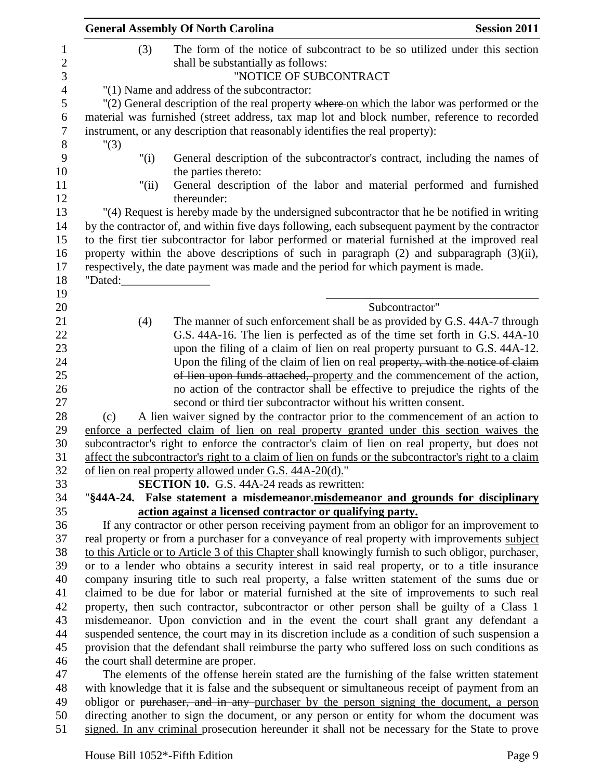|                | <b>General Assembly Of North Carolina</b>                                                                                                                                           | <b>Session 2011</b> |
|----------------|-------------------------------------------------------------------------------------------------------------------------------------------------------------------------------------|---------------------|
| $\mathbf{1}$   | The form of the notice of subcontract to be so utilized under this section<br>(3)                                                                                                   |                     |
| $\overline{2}$ | shall be substantially as follows:                                                                                                                                                  |                     |
| 3              | "NOTICE OF SUBCONTRACT                                                                                                                                                              |                     |
| $\overline{4}$ | $"(1)$ Name and address of the subcontractor:                                                                                                                                       |                     |
| 5              | "(2) General description of the real property where on which the labor was performed or the                                                                                         |                     |
| 6              | material was furnished (street address, tax map lot and block number, reference to recorded                                                                                         |                     |
| 7              | instrument, or any description that reasonably identifies the real property):                                                                                                       |                     |
| $8\,$          | "(3)                                                                                                                                                                                |                     |
| 9              | " $(i)$<br>General description of the subcontractor's contract, including the names of                                                                                              |                     |
| 10             | the parties thereto:                                                                                                                                                                |                     |
| 11             | General description of the labor and material performed and furnished<br>"(ii)                                                                                                      |                     |
| 12             | thereunder:                                                                                                                                                                         |                     |
| 13             | "(4) Request is hereby made by the undersigned subcontractor that he be notified in writing                                                                                         |                     |
| 14             | by the contractor of, and within five days following, each subsequent payment by the contractor                                                                                     |                     |
| 15             | to the first tier subcontractor for labor performed or material furnished at the improved real                                                                                      |                     |
| 16<br>17       | property within the above descriptions of such in paragraph $(2)$ and subparagraph $(3)(ii)$ ,<br>respectively, the date payment was made and the period for which payment is made. |                     |
| 18             | "Dated:                                                                                                                                                                             |                     |
| 19             |                                                                                                                                                                                     |                     |
| 20             | Subcontractor"                                                                                                                                                                      |                     |
| 21             | The manner of such enforcement shall be as provided by G.S. 44A-7 through<br>(4)                                                                                                    |                     |
| 22             | G.S. 44A-16. The lien is perfected as of the time set forth in G.S. 44A-10                                                                                                          |                     |
| 23             | upon the filing of a claim of lien on real property pursuant to G.S. 44A-12.                                                                                                        |                     |
| 24             | Upon the filing of the claim of lien on real property, with the notice of claim                                                                                                     |                     |
| 25             | of lien upon funds attached, property and the commencement of the action,                                                                                                           |                     |
| 26             | no action of the contractor shall be effective to prejudice the rights of the                                                                                                       |                     |
| 27             | second or third tier subcontractor without his written consent.                                                                                                                     |                     |
| 28             | A lien waiver signed by the contractor prior to the commencement of an action to<br>(c)                                                                                             |                     |
| 29             | enforce a perfected claim of lien on real property granted under this section waives the                                                                                            |                     |
| 30             | subcontractor's right to enforce the contractor's claim of lien on real property, but does not                                                                                      |                     |
| 31             | affect the subcontractor's right to a claim of lien on funds or the subcontractor's right to a claim                                                                                |                     |
| 32             | of lien on real property allowed under G.S. 44A-20(d)."                                                                                                                             |                     |
| 33             | <b>SECTION 10.</b> G.S. 44A-24 reads as rewritten:                                                                                                                                  |                     |
| 34<br>35       | "§44A-24. False statement a misdemeanor-misdemeanor and grounds for disciplinary<br>action against a licensed contractor or qualifying party.                                       |                     |
| 36             | If any contractor or other person receiving payment from an obligor for an improvement to                                                                                           |                     |
| 37             | real property or from a purchaser for a conveyance of real property with improvements subject                                                                                       |                     |
| 38             | to this Article or to Article 3 of this Chapter shall knowingly furnish to such obligor, purchaser,                                                                                 |                     |
| 39             | or to a lender who obtains a security interest in said real property, or to a title insurance                                                                                       |                     |
| 40             | company insuring title to such real property, a false written statement of the sums due or                                                                                          |                     |
| 41             | claimed to be due for labor or material furnished at the site of improvements to such real                                                                                          |                     |
| 42             | property, then such contractor, subcontractor or other person shall be guilty of a Class 1                                                                                          |                     |
| 43             | misdemeanor. Upon conviction and in the event the court shall grant any defendant a                                                                                                 |                     |
| 44             | suspended sentence, the court may in its discretion include as a condition of such suspension a                                                                                     |                     |
| 45             | provision that the defendant shall reimburse the party who suffered loss on such conditions as                                                                                      |                     |
| 46             | the court shall determine are proper.                                                                                                                                               |                     |
| 47             | The elements of the offense herein stated are the furnishing of the false written statement                                                                                         |                     |
| 48             | with knowledge that it is false and the subsequent or simultaneous receipt of payment from an                                                                                       |                     |
| 49             | obligor or purchaser, and in any purchaser by the person signing the document, a person                                                                                             |                     |
| 50             | directing another to sign the document, or any person or entity for whom the document was                                                                                           |                     |
| 51             | signed. In any criminal prosecution hereunder it shall not be necessary for the State to prove                                                                                      |                     |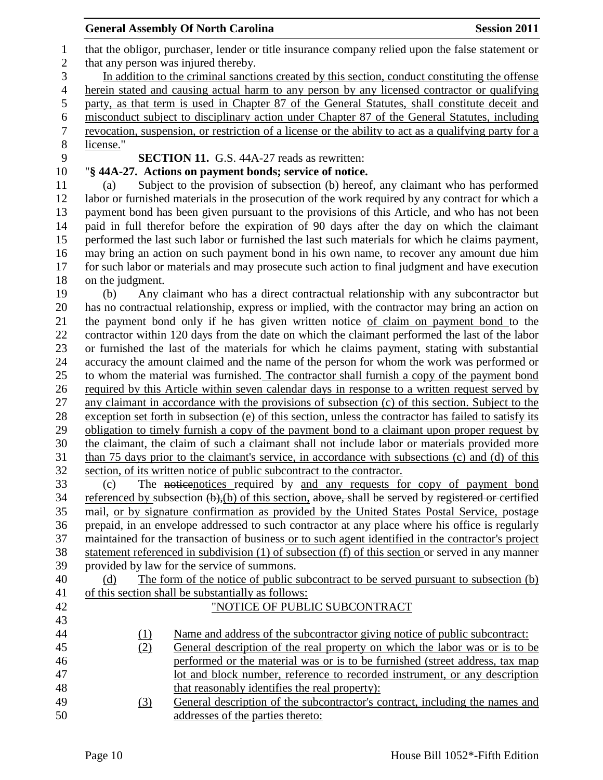that the obligor, purchaser, lender or title insurance company relied upon the false statement or that any person was injured thereby. In addition to the criminal sanctions created by this section, conduct constituting the offense herein stated and causing actual harm to any person by any licensed contractor or qualifying party, as that term is used in Chapter 87 of the General Statutes, shall constitute deceit and misconduct subject to disciplinary action under Chapter 87 of the General Statutes, including revocation, suspension, or restriction of a license or the ability to act as a qualifying party for a license." **SECTION 11.** G.S. 44A-27 reads as rewritten:<br>10 <sup>"§</sup> 44A-27. Actions on payment bonds; service of notice. "**§ 44A-27. Actions on payment bonds; service of notice.** (a) Subject to the provision of subsection (b) hereof, any claimant who has performed labor or furnished materials in the prosecution of the work required by any contract for which a payment bond has been given pursuant to the provisions of this Article, and who has not been paid in full therefor before the expiration of 90 days after the day on which the claimant performed the last such labor or furnished the last such materials for which he claims payment, may bring an action on such payment bond in his own name, to recover any amount due him for such labor or materials and may prosecute such action to final judgment and have execution on the judgment. (b) Any claimant who has a direct contractual relationship with any subcontractor but has no contractual relationship, express or implied, with the contractor may bring an action on the payment bond only if he has given written notice of claim on payment bond to the contractor within 120 days from the date on which the claimant performed the last of the labor or furnished the last of the materials for which he claims payment, stating with substantial accuracy the amount claimed and the name of the person for whom the work was performed or to whom the material was furnished. The contractor shall furnish a copy of the payment bond required by this Article within seven calendar days in response to a written request served by any claimant in accordance with the provisions of subsection (c) of this section. Subject to the exception set forth in subsection (e) of this section, unless the contractor has failed to satisfy its obligation to timely furnish a copy of the payment bond to a claimant upon proper request by the claimant, the claim of such a claimant shall not include labor or materials provided more than 75 days prior to the claimant's service, in accordance with subsections (c) and (d) of this section, of its written notice of public subcontract to the contractor. (c) The noticenotices required by and any requests for copy of payment bond 34 referenced by subsection  $(\theta)$ , (b) of this section, above, shall be served by registered or certified mail, or by signature confirmation as provided by the United States Postal Service, postage prepaid, in an envelope addressed to such contractor at any place where his office is regularly maintained for the transaction of business or to such agent identified in the contractor's project statement referenced in subdivision (1) of subsection (f) of this section or served in any manner provided by law for the service of summons. 40 (d) The form of the notice of public subcontract to be served pursuant to subsection (b) of this section shall be substantially as follows: "NOTICE OF PUBLIC SUBCONTRACT (1) Name and address of the subcontractor giving notice of public subcontract: (2) General description of the real property on which the labor was or is to be performed or the material was or is to be furnished (street address, tax map lot and block number, reference to recorded instrument, or any description that reasonably identifies the real property): (3) General description of the subcontractor's contract, including the names and addresses of the parties thereto: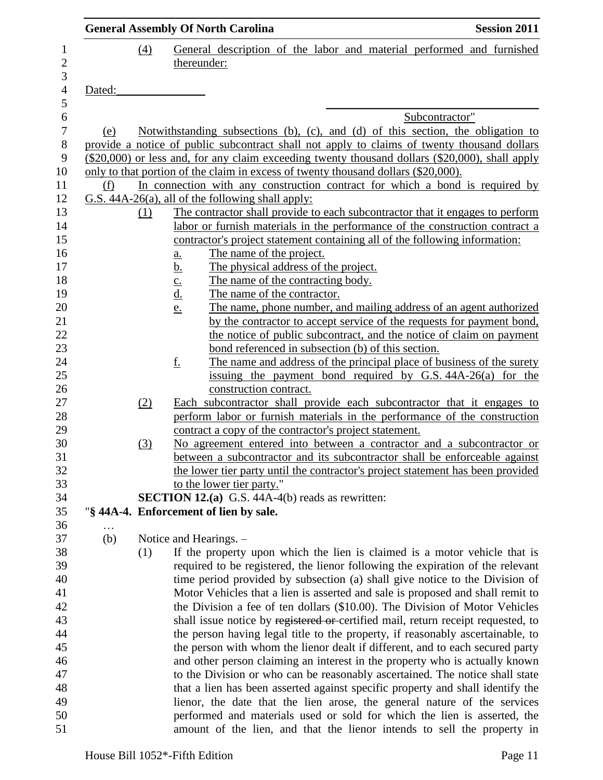|        |     | <b>General Assembly Of North Carolina</b>                                                                                                                                       | <b>Session 2011</b> |
|--------|-----|---------------------------------------------------------------------------------------------------------------------------------------------------------------------------------|---------------------|
|        | (4) | General description of the labor and material performed and furnished<br>thereunder:                                                                                            |                     |
| Dated: |     |                                                                                                                                                                                 |                     |
|        |     |                                                                                                                                                                                 |                     |
|        |     |                                                                                                                                                                                 | Subcontractor"      |
| (e)    |     | Notwithstanding subsections (b), (c), and (d) of this section, the obligation to<br>provide a notice of public subcontract shall not apply to claims of twenty thousand dollars |                     |
|        |     | $(\$20,000)$ or less and, for any claim exceeding twenty thousand dollars $(\$20,000)$ , shall apply                                                                            |                     |
|        |     | only to that portion of the claim in excess of twenty thousand dollars (\$20,000).                                                                                              |                     |
| (f)    |     | In connection with any construction contract for which a bond is required by                                                                                                    |                     |
|        |     | $G.S. 44A-26(a)$ , all of the following shall apply:                                                                                                                            |                     |
|        | (1) | The contractor shall provide to each subcontractor that it engages to perform                                                                                                   |                     |
|        |     | labor or furnish materials in the performance of the construction contract a                                                                                                    |                     |
|        |     | contractor's project statement containing all of the following information:                                                                                                     |                     |
|        |     | The name of the project.<br>a.                                                                                                                                                  |                     |
|        |     | The physical address of the project.<br><u>b.</u>                                                                                                                               |                     |
|        |     | The name of the contracting body.                                                                                                                                               |                     |
|        |     | $\frac{c}{d}$<br>The name of the contractor.                                                                                                                                    |                     |
|        |     | The name, phone number, and mailing address of an agent authorized<br>e.                                                                                                        |                     |
|        |     | by the contractor to accept service of the requests for payment bond,                                                                                                           |                     |
|        |     | the notice of public subcontract, and the notice of claim on payment                                                                                                            |                     |
|        |     | bond referenced in subsection (b) of this section.                                                                                                                              |                     |
|        |     | <u>f.</u><br>The name and address of the principal place of business of the surety                                                                                              |                     |
|        |     | issuing the payment bond required by G.S. $44A-26(a)$ for the                                                                                                                   |                     |
|        |     | construction contract.                                                                                                                                                          |                     |
|        | (2) | Each subcontractor shall provide each subcontractor that it engages to                                                                                                          |                     |
|        |     | perform labor or furnish materials in the performance of the construction                                                                                                       |                     |
|        |     | contract a copy of the contractor's project statement.                                                                                                                          |                     |
|        | (3) | No agreement entered into between a contractor and a subcontractor or<br>between a subcontractor and its subcontractor shall be enforceable against                             |                     |
|        |     | the lower tier party until the contractor's project statement has been provided                                                                                                 |                     |
|        |     | to the lower tier party."                                                                                                                                                       |                     |
|        |     | <b>SECTION 12.(a)</b> G.S. $44A-4(b)$ reads as rewritten:                                                                                                                       |                     |
|        |     | "§ 44A-4. Enforcement of lien by sale.                                                                                                                                          |                     |
| .      |     |                                                                                                                                                                                 |                     |
| (b)    |     | Notice and Hearings. -                                                                                                                                                          |                     |
|        | (1) | If the property upon which the lien is claimed is a motor vehicle that is                                                                                                       |                     |
|        |     | required to be registered, the lienor following the expiration of the relevant                                                                                                  |                     |
|        |     | time period provided by subsection (a) shall give notice to the Division of                                                                                                     |                     |
|        |     | Motor Vehicles that a lien is asserted and sale is proposed and shall remit to                                                                                                  |                     |
|        |     | the Division a fee of ten dollars (\$10.00). The Division of Motor Vehicles                                                                                                     |                     |
|        |     | shall issue notice by registered or certified mail, return receipt requested, to                                                                                                |                     |
|        |     | the person having legal title to the property, if reasonably ascertainable, to                                                                                                  |                     |
|        |     | the person with whom the lienor dealt if different, and to each secured party                                                                                                   |                     |
|        |     | and other person claiming an interest in the property who is actually known                                                                                                     |                     |
|        |     | to the Division or who can be reasonably ascertained. The notice shall state                                                                                                    |                     |
|        |     | that a lien has been asserted against specific property and shall identify the                                                                                                  |                     |
|        |     | lienor, the date that the lien arose, the general nature of the services                                                                                                        |                     |
|        |     | performed and materials used or sold for which the lien is asserted, the                                                                                                        |                     |
|        |     | amount of the lien, and that the lienor intends to sell the property in                                                                                                         |                     |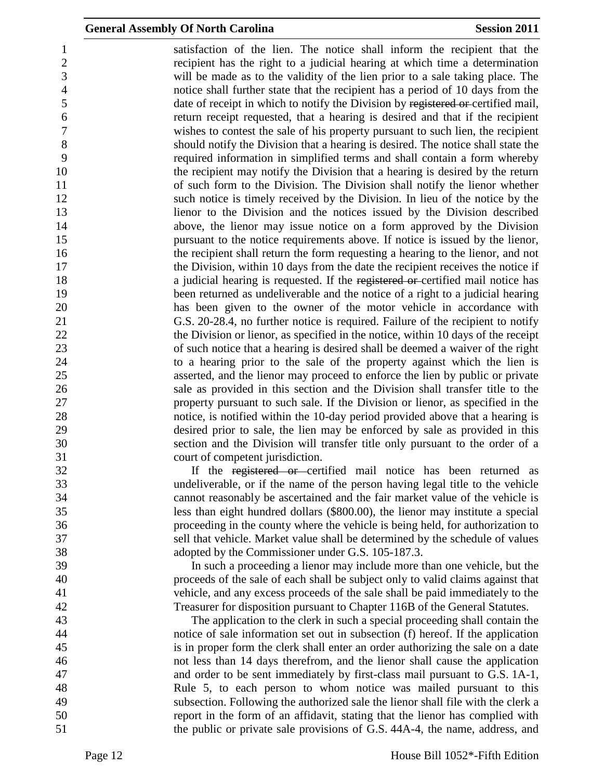satisfaction of the lien. The notice shall inform the recipient that the recipient has the right to a judicial hearing at which time a determination will be made as to the validity of the lien prior to a sale taking place. The notice shall further state that the recipient has a period of 10 days from the date of receipt in which to notify the Division by registered or certified mail, return receipt requested, that a hearing is desired and that if the recipient wishes to contest the sale of his property pursuant to such lien, the recipient should notify the Division that a hearing is desired. The notice shall state the required information in simplified terms and shall contain a form whereby the recipient may notify the Division that a hearing is desired by the return of such form to the Division. The Division shall notify the lienor whether such notice is timely received by the Division. In lieu of the notice by the lienor to the Division and the notices issued by the Division described above, the lienor may issue notice on a form approved by the Division pursuant to the notice requirements above. If notice is issued by the lienor, the recipient shall return the form requesting a hearing to the lienor, and not the Division, within 10 days from the date the recipient receives the notice if **a** judicial hearing is requested. If the registered or certified mail notice has been returned as undeliverable and the notice of a right to a judicial hearing has been given to the owner of the motor vehicle in accordance with G.S. 20-28.4, no further notice is required. Failure of the recipient to notify 22 the Division or lienor, as specified in the notice, within 10 days of the receipt of such notice that a hearing is desired shall be deemed a waiver of the right to a hearing prior to the sale of the property against which the lien is asserted, and the lienor may proceed to enforce the lien by public or private sale as provided in this section and the Division shall transfer title to the property pursuant to such sale. If the Division or lienor, as specified in the notice, is notified within the 10-day period provided above that a hearing is desired prior to sale, the lien may be enforced by sale as provided in this section and the Division will transfer title only pursuant to the order of a court of competent jurisdiction. If the registered or certified mail notice has been returned as undeliverable, or if the name of the person having legal title to the vehicle cannot reasonably be ascertained and the fair market value of the vehicle is

 less than eight hundred dollars (\$800.00), the lienor may institute a special proceeding in the county where the vehicle is being held, for authorization to sell that vehicle. Market value shall be determined by the schedule of values adopted by the Commissioner under G.S. 105-187.3.

 In such a proceeding a lienor may include more than one vehicle, but the proceeds of the sale of each shall be subject only to valid claims against that vehicle, and any excess proceeds of the sale shall be paid immediately to the Treasurer for disposition pursuant to Chapter 116B of the General Statutes.

 The application to the clerk in such a special proceeding shall contain the notice of sale information set out in subsection (f) hereof. If the application is in proper form the clerk shall enter an order authorizing the sale on a date not less than 14 days therefrom, and the lienor shall cause the application and order to be sent immediately by first-class mail pursuant to G.S. 1A-1, Rule 5, to each person to whom notice was mailed pursuant to this subsection. Following the authorized sale the lienor shall file with the clerk a report in the form of an affidavit, stating that the lienor has complied with 51 the public or private sale provisions of G.S. 44A-4, the name, address, and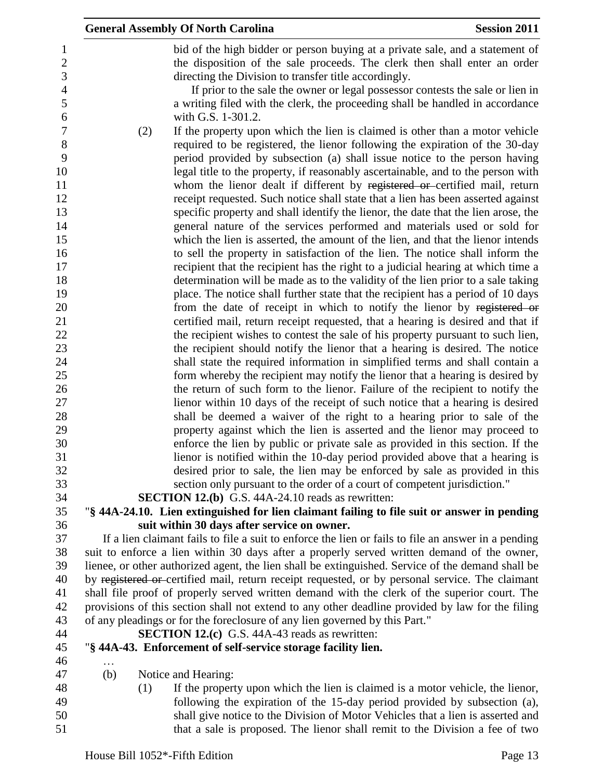|                | <b>General Assembly Of North Carolina</b>                                   | <b>Session 2011</b>                                                                                 |
|----------------|-----------------------------------------------------------------------------|-----------------------------------------------------------------------------------------------------|
| 1              |                                                                             | bid of the high bidder or person buying at a private sale, and a statement of                       |
| $\sqrt{2}$     |                                                                             | the disposition of the sale proceeds. The clerk then shall enter an order                           |
| 3              |                                                                             | directing the Division to transfer title accordingly.                                               |
| $\overline{4}$ |                                                                             | If prior to the sale the owner or legal possessor contests the sale or lien in                      |
| 5              |                                                                             | a writing filed with the clerk, the proceeding shall be handled in accordance                       |
| 6              | with G.S. 1-301.2.                                                          |                                                                                                     |
| $\overline{7}$ | (2)                                                                         | If the property upon which the lien is claimed is other than a motor vehicle                        |
| $8\,$          |                                                                             | required to be registered, the lienor following the expiration of the 30-day                        |
| 9              |                                                                             | period provided by subsection (a) shall issue notice to the person having                           |
| 10             |                                                                             | legal title to the property, if reasonably ascertainable, and to the person with                    |
| 11             |                                                                             | whom the lienor dealt if different by registered or certified mail, return                          |
| 12             |                                                                             | receipt requested. Such notice shall state that a lien has been asserted against                    |
| 13             |                                                                             | specific property and shall identify the lienor, the date that the lien arose, the                  |
| 14             |                                                                             | general nature of the services performed and materials used or sold for                             |
| 15             |                                                                             | which the lien is asserted, the amount of the lien, and that the lienor intends                     |
| 16             |                                                                             | to sell the property in satisfaction of the lien. The notice shall inform the                       |
| 17             |                                                                             | recipient that the recipient has the right to a judicial hearing at which time a                    |
| 18             |                                                                             | determination will be made as to the validity of the lien prior to a sale taking                    |
| 19             |                                                                             | place. The notice shall further state that the recipient has a period of 10 days                    |
| 20             |                                                                             | from the date of receipt in which to notify the lienor by registered or                             |
| 21             |                                                                             | certified mail, return receipt requested, that a hearing is desired and that if                     |
| 22             |                                                                             | the recipient wishes to contest the sale of his property pursuant to such lien,                     |
| 23             |                                                                             | the recipient should notify the lienor that a hearing is desired. The notice                        |
| 24             |                                                                             | shall state the required information in simplified terms and shall contain a                        |
| 25             |                                                                             | form whereby the recipient may notify the lienor that a hearing is desired by                       |
| 26             |                                                                             | the return of such form to the lienor. Failure of the recipient to notify the                       |
| 27             |                                                                             | lienor within 10 days of the receipt of such notice that a hearing is desired                       |
| 28             |                                                                             | shall be deemed a waiver of the right to a hearing prior to sale of the                             |
| 29             |                                                                             | property against which the lien is asserted and the lienor may proceed to                           |
| 30             |                                                                             | enforce the lien by public or private sale as provided in this section. If the                      |
| 31             |                                                                             | lienor is notified within the 10-day period provided above that a hearing is                        |
| 32             |                                                                             | desired prior to sale, the lien may be enforced by sale as provided in this                         |
| 33             |                                                                             | section only pursuant to the order of a court of competent jurisdiction."                           |
| 34             | <b>SECTION 12.(b)</b> G.S. 44A-24.10 reads as rewritten:                    |                                                                                                     |
| 35             |                                                                             | "§ 44A-24.10. Lien extinguished for lien claimant failing to file suit or answer in pending         |
| 36             | suit within 30 days after service on owner.                                 |                                                                                                     |
| 37             |                                                                             | If a lien claimant fails to file a suit to enforce the lien or fails to file an answer in a pending |
| 38             |                                                                             | suit to enforce a lien within 30 days after a properly served written demand of the owner,          |
| 39             |                                                                             | lienee, or other authorized agent, the lien shall be extinguished. Service of the demand shall be   |
| 40             |                                                                             | by registered or certified mail, return receipt requested, or by personal service. The claimant     |
| 41             |                                                                             | shall file proof of properly served written demand with the clerk of the superior court. The        |
| 42             |                                                                             | provisions of this section shall not extend to any other deadline provided by law for the filing    |
| 43             | of any pleadings or for the foreclosure of any lien governed by this Part." |                                                                                                     |
| 44             | <b>SECTION 12.(c)</b> G.S. 44A-43 reads as rewritten:                       |                                                                                                     |
| 45<br>46       | "§ 44A-43. Enforcement of self-service storage facility lien.               |                                                                                                     |
| 47             | (b)                                                                         |                                                                                                     |
| 48             | Notice and Hearing:<br>(1)                                                  | If the property upon which the lien is claimed is a motor vehicle, the lienor,                      |
| 49             |                                                                             | following the expiration of the 15-day period provided by subsection (a),                           |
| 50             |                                                                             | shall give notice to the Division of Motor Vehicles that a lien is asserted and                     |
| 51             |                                                                             | that a sale is proposed. The lienor shall remit to the Division a fee of two                        |
|                |                                                                             |                                                                                                     |